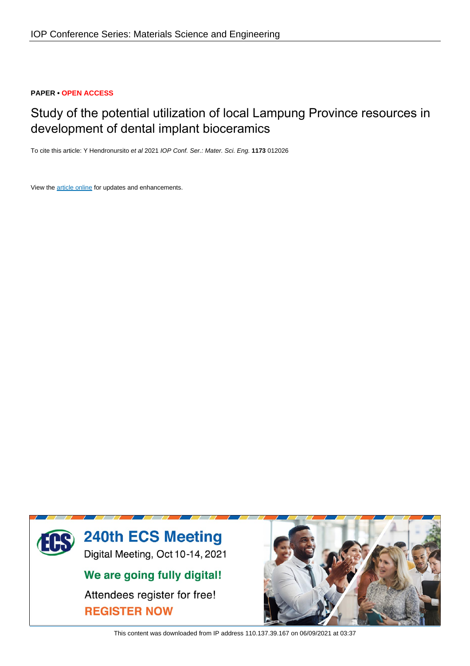## **PAPER • OPEN ACCESS**

# Study of the potential utilization of local Lampung Province resources in development of dental implant bioceramics

To cite this article: Y Hendronursito et al 2021 IOP Conf. Ser.: Mater. Sci. Eng. **1173** 012026

View the [article online](https://doi.org/10.1088/1757-899X/1173/1/012026) for updates and enhancements.



This content was downloaded from IP address 110.137.39.167 on 06/09/2021 at 03:37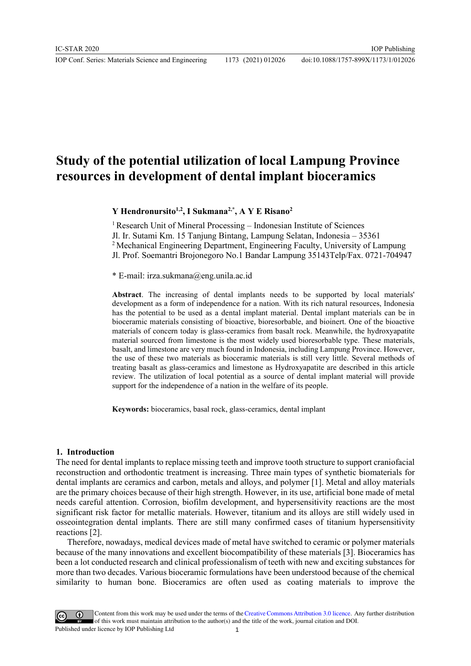IOP Conf. Series: Materials Science and Engineering 1173 (2021) 012026

## **Study of the potential utilization of local Lampung Province resources in development of dental implant bioceramics**

**Y Hendronursito1,2, I Sukmana2,\* , A Y E Risano<sup>2</sup>**

<sup>1</sup> Research Unit of Mineral Processing – Indonesian Institute of Sciences Jl. Ir. Sutami Km. 15 Tanjung Bintang, Lampung Selatan, Indonesia – 35361 <sup>2</sup> Mechanical Engineering Department, Engineering Faculty, University of Lampung Jl. Prof. Soemantri Brojonegoro No.1 Bandar Lampung 35143Telp/Fax. 0721-704947

\* E-mail: irza.sukmana@eng.unila.ac.id

**Abstract**. The increasing of dental implants needs to be supported by local materials' development as a form of independence for a nation. With its rich natural resources, Indonesia has the potential to be used as a dental implant material. Dental implant materials can be in bioceramic materials consisting of bioactive, bioresorbable, and bioinert. One of the bioactive materials of concern today is glass-ceramics from basalt rock. Meanwhile, the hydroxyapatite material sourced from limestone is the most widely used bioresorbable type. These materials, basalt, and limestone are very much found in Indonesia, including Lampung Province. However, the use of these two materials as bioceramic materials is still very little. Several methods of treating basalt as glass-ceramics and limestone as Hydroxyapatite are described in this article review. The utilization of local potential as a source of dental implant material will provide support for the independence of a nation in the welfare of its people.

**Keywords:** bioceramics, basal rock, glass-ceramics, dental implant

#### **1. Introduction**

The need for dental implants to replace missing teeth and improve tooth structure to support craniofacial reconstruction and orthodontic treatment is increasing. Three main types of synthetic biomaterials for dental implants are ceramics and carbon, metals and alloys, and polymer [1]. Metal and alloy materials are the primary choices because of their high strength. However, in its use, artificial bone made of metal needs careful attention. Corrosion, biofilm development, and hypersensitivity reactions are the most significant risk factor for metallic materials. However, titanium and its alloys are still widely used in osseointegration dental implants. There are still many confirmed cases of titanium hypersensitivity reactions [2].

Therefore, nowadays, medical devices made of metal have switched to ceramic or polymer materials because of the many innovations and excellent biocompatibility of these materials [3]. Bioceramics has been a lot conducted research and clinical professionalism of teeth with new and exciting substances for more than two decades. Various bioceramic formulations have been understood because of the chemical similarity to human bone. Bioceramics are often used as coating materials to improve the

Content from this work may be used under the terms of theCreative Commons Attribution 3.0 licence. Any further distribution of this work must maintain attribution to the author(s) and the title of the work, journal citation and DOI. Published under licence by IOP Publishing Ltd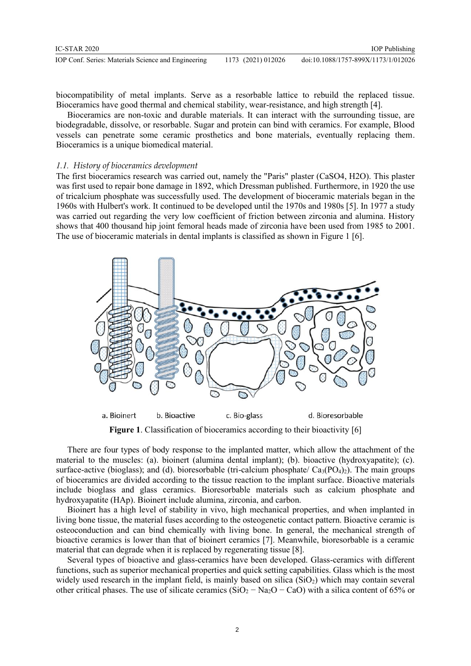| IC-STAR 2020                                        |                    | <b>IOP</b> Publishing               |
|-----------------------------------------------------|--------------------|-------------------------------------|
| IOP Conf. Series: Materials Science and Engineering | 1173 (2021) 012026 | doi:10.1088/1757-899X/1173/1/012026 |

biocompatibility of metal implants. Serve as a resorbable lattice to rebuild the replaced tissue. Bioceramics have good thermal and chemical stability, wear-resistance, and high strength [4].

Bioceramics are non-toxic and durable materials. It can interact with the surrounding tissue, are biodegradable, dissolve, or resorbable. Sugar and protein can bind with ceramics. For example, Blood vessels can penetrate some ceramic prosthetics and bone materials, eventually replacing them. Bioceramics is a unique biomedical material.

#### *1.1. History of bioceramics development*

The first bioceramics research was carried out, namely the "Paris" plaster (CaSO4, H2O). This plaster was first used to repair bone damage in 1892, which Dressman published. Furthermore, in 1920 the use of tricalcium phosphate was successfully used. The development of bioceramic materials began in the 1960s with Hulbert's work. It continued to be developed until the 1970s and 1980s [5]. In 1977 a study was carried out regarding the very low coefficient of friction between zirconia and alumina. History shows that 400 thousand hip joint femoral heads made of zirconia have been used from 1985 to 2001. The use of bioceramic materials in dental implants is classified as shown in Figure 1 [6].



**Figure 1.** Classification of bioceramics according to their bioactivity [6]

There are four types of body response to the implanted matter, which allow the attachment of the material to the muscles: (a). bioinert (alumina dental implant); (b). bioactive (hydroxyapatite); (c). surface-active (bioglass); and (d). bioresorbable (tri-calcium phosphate/  $Ca_3(PO_4)_2$ ). The main groups of bioceramics are divided according to the tissue reaction to the implant surface. Bioactive materials include bioglass and glass ceramics. Bioresorbable materials such as calcium phosphate and hydroxyapatite (HAp). Bioinert include alumina, zirconia, and carbon.

Bioinert has a high level of stability in vivo, high mechanical properties, and when implanted in living bone tissue, the material fuses according to the osteogenetic contact pattern. Bioactive ceramic is osteoconduction and can bind chemically with living bone. In general, the mechanical strength of bioactive ceramics is lower than that of bioinert ceramics [7]. Meanwhile, bioresorbable is a ceramic material that can degrade when it is replaced by regenerating tissue [8].

Several types of bioactive and glass-ceramics have been developed. Glass-ceramics with different functions, such as superior mechanical properties and quick setting capabilities. Glass which is the most widely used research in the implant field, is mainly based on silica  $(SiO<sub>2</sub>)$  which may contain several other critical phases. The use of silicate ceramics (SiO<sub>2</sub> – Na<sub>2</sub>O – CaO) with a silica content of 65% or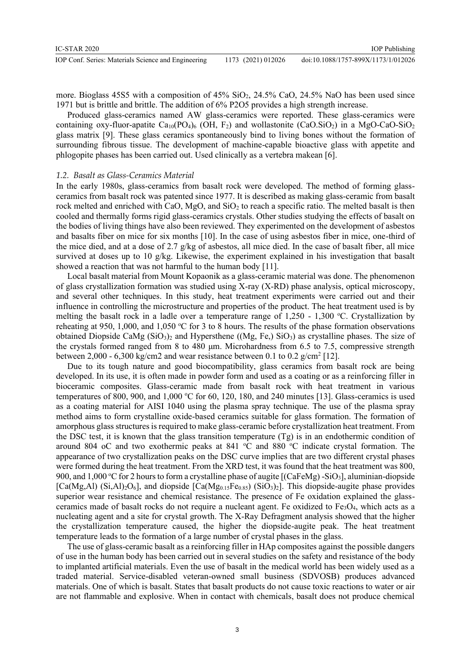more. Bioglass  $45S5$  with a composition of  $45\%$  SiO<sub>2</sub>,  $24.5\%$  CaO,  $24.5\%$  NaO has been used since 1971 but is brittle and brittle. The addition of 6% P2O5 provides a high strength increase.

Produced glass-ceramics named AW glass-ceramics were reported. These glass-ceramics were containing oxy-fluor-apatite  $Ca_{10}(PO_4)_{6}$  (OH, F<sub>2</sub>) and wollastonite (CaO.SiO<sub>2</sub>) in a MgO-CaO-SiO<sub>2</sub> glass matrix [9]. These glass ceramics spontaneously bind to living bones without the formation of surrounding fibrous tissue. The development of machine-capable bioactive glass with appetite and phlogopite phases has been carried out. Used clinically as a vertebra makean [6].

#### *1.2. Basalt as Glass-Ceramics Material*

In the early 1980s, glass-ceramics from basalt rock were developed. The method of forming glassceramics from basalt rock was patented since 1977. It is described as making glass-ceramic from basalt rock melted and enriched with CaO, MgO, and SiO<sub>2</sub> to reach a specific ratio. The melted basalt is then cooled and thermally forms rigid glass-ceramics crystals. Other studies studying the effects of basalt on the bodies of living things have also been reviewed. They experimented on the development of asbestos and basalts fiber on mice for six months [10]. In the case of using asbestos fiber in mice, one-third of the mice died, and at a dose of 2.7 g/kg of asbestos, all mice died. In the case of basalt fiber, all mice survived at doses up to 10 g/kg. Likewise, the experiment explained in his investigation that basalt showed a reaction that was not harmful to the human body [11].

Local basalt material from Mount Kopaonik as a glass-ceramic material was done. The phenomenon of glass crystallization formation was studied using X-ray (X-RD) phase analysis, optical microscopy, and several other techniques. In this study, heat treatment experiments were carried out and their influence in controlling the microstructure and properties of the product. The heat treatment used is by melting the basalt rock in a ladle over a temperature range of  $1,250 - 1,300$  °C. Crystallization by reheating at 950, 1,000, and 1,050 °C for 3 to 8 hours. The results of the phase formation observations obtained Diopside CaMg  $(SiO<sub>3</sub>)<sub>2</sub>$  and Hypersthene ((Mg, Fe,)  $SiO<sub>3</sub>$ ) as crystalline phases. The size of the crystals formed ranged from 8 to 480 μm. Microhardness from 6.5 to 7.5, compressive strength between 2,000 - 6,300 kg/cm2 and wear resistance between 0.1 to 0.2 g/cm<sup>2</sup> [12].

Due to its tough nature and good biocompatibility, glass ceramics from basalt rock are being developed. In its use, it is often made in powder form and used as a coating or as a reinforcing filler in bioceramic composites. Glass-ceramic made from basalt rock with heat treatment in various temperatures of 800, 900, and 1,000 °C for 60, 120, 180, and 240 minutes [13]. Glass-ceramics is used as a coating material for AISI 1040 using the plasma spray technique. The use of the plasma spray method aims to form crystalline oxide-based ceramics suitable for glass formation. The formation of amorphous glass structures is required to make glass-ceramic before crystallization heat treatment. From the DSC test, it is known that the glass transition temperature (Tg) is in an endothermic condition of around 804 oC and two exothermic peaks at 841  $^{\circ}$ C and 880  $^{\circ}$ C indicate crystal formation. The appearance of two crystallization peaks on the DSC curve implies that are two different crystal phases were formed during the heat treatment. From the XRD test, it was found that the heat treatment was 800, 900, and 1,000 °C for 2 hours to form a crystalline phase of augite  $[(CaFeMg) - SiO<sub>3</sub>]$ , aluminian-diopside  $[Ca(Mg,Al) (Si,Al)_2O_6]$ , and diopside  $[Ca(Mg_{0.15}Fe_{0.85}) (SiO_3)_2]$ . This diopside-augite phase provides superior wear resistance and chemical resistance. The presence of Fe oxidation explained the glassceramics made of basalt rocks do not require a nucleant agent. Fe oxidized to  $Fe<sub>3</sub>O<sub>4</sub>$ , which acts as a nucleating agent and a site for crystal growth. The X-Ray Defragment analysis showed that the higher the crystallization temperature caused, the higher the diopside-augite peak. The heat treatment temperature leads to the formation of a large number of crystal phases in the glass.

The use of glass-ceramic basalt as a reinforcing filler in HAp composites against the possible dangers of use in the human body has been carried out in several studies on the safety and resistance of the body to implanted artificial materials. Even the use of basalt in the medical world has been widely used as a traded material. Service-disabled veteran-owned small business (SDVOSB) produces advanced materials. One of which is basalt. States that basalt products do not cause toxic reactions to water or air are not flammable and explosive. When in contact with chemicals, basalt does not produce chemical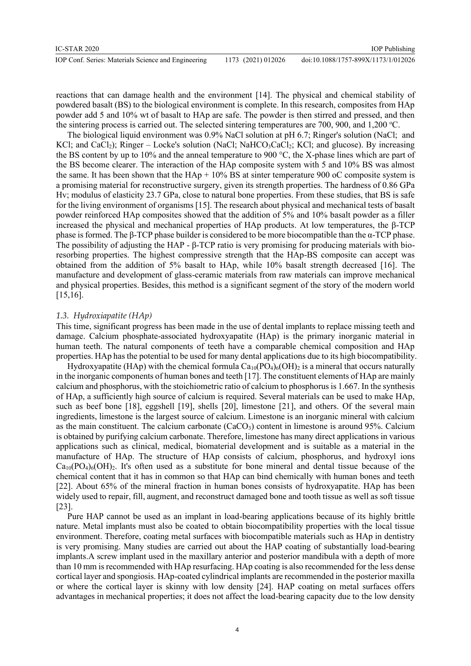reactions that can damage health and the environment [14]. The physical and chemical stability of powdered basalt (BS) to the biological environment is complete. In this research, composites from HAp powder add 5 and 10% wt of basalt to HAp are safe. The powder is then stirred and pressed, and then the sintering process is carried out. The selected sintering temperatures are 700, 900, and 1,200  $^{\circ}$ C.

The biological liquid environment was 0.9% NaCl solution at pH 6.7; Ringer's solution (NaCl; and KCl; and CaCl<sub>2</sub>); Ringer – Locke's solution (NaCl; NaHCO<sub>3</sub>CaCl<sub>2</sub>; KCl; and glucose). By increasing the BS content by up to 10% and the anneal temperature to 900 °C, the X-phase lines which are part of the BS become clearer. The interaction of the HAp composite system with 5 and 10% BS was almost the same. It has been shown that the  $HAp + 10\%$  BS at sinter temperature 900 oC composite system is a promising material for reconstructive surgery, given its strength properties. The hardness of 0.86 GPa Hv; modulus of elasticity 23.7 GPa, close to natural bone properties. From these studies, that BS is safe for the living environment of organisms [15]. The research about physical and mechanical tests of basalt powder reinforced HAp composites showed that the addition of 5% and 10% basalt powder as a filler increased the physical and mechanical properties of HAp products. At low temperatures, the β-TCP phase is formed. The β-TCP phase builder is considered to be more biocompatible than the α-TCP phase. The possibility of adjusting the HAP - β-TCP ratio is very promising for producing materials with bioresorbing properties. The highest compressive strength that the HAp-BS composite can accept was obtained from the addition of 5% basalt to HAp, while 10% basalt strength decreased [16]. The manufacture and development of glass-ceramic materials from raw materials can improve mechanical and physical properties. Besides, this method is a significant segment of the story of the modern world [15,16].

## *1.3. Hydroxiapatite (HAp)*

This time, significant progress has been made in the use of dental implants to replace missing teeth and damage. Calcium phosphate-associated hydroxyapatite (HAp) is the primary inorganic material in human teeth. The natural components of teeth have a comparable chemical composition and HAp properties. HAp has the potential to be used for many dental applications due to its high biocompatibility.

Hydroxyapatite (HAp) with the chemical formula  $Ca_{10}(PO_4)_6(OH)_2$  is a mineral that occurs naturally in the inorganic components of human bones and teeth [17]. The constituent elements of HAp are mainly calcium and phosphorus, with the stoichiometric ratio of calcium to phosphorus is 1.667. In the synthesis of HAp, a sufficiently high source of calcium is required. Several materials can be used to make HAp, such as beef bone [18], eggshell [19], shells [20], limestone [21], and others. Of the several main ingredients, limestone is the largest source of calcium. Limestone is an inorganic mineral with calcium as the main constituent. The calcium carbonate  $(CaCO<sub>3</sub>)$  content in limestone is around 95%. Calcium is obtained by purifying calcium carbonate. Therefore, limestone has many direct applications in various applications such as clinical, medical, biomaterial development and is suitable as a material in the manufacture of HAp. The structure of HAp consists of calcium, phosphorus, and hydroxyl ions  $Ca<sub>10</sub>(PO<sub>4</sub>)<sub>6</sub>(OH)<sub>2</sub>$ . It's often used as a substitute for bone mineral and dental tissue because of the chemical content that it has in common so that HAp can bind chemically with human bones and teeth [22]. About 65% of the mineral fraction in human bones consists of hydroxyapatite. HAp has been widely used to repair, fill, augment, and reconstruct damaged bone and tooth tissue as well as soft tissue [23].

Pure HAP cannot be used as an implant in load-bearing applications because of its highly brittle nature. Metal implants must also be coated to obtain biocompatibility properties with the local tissue environment. Therefore, coating metal surfaces with biocompatible materials such as HAp in dentistry is very promising. Many studies are carried out about the HAP coating of substantially load-bearing implants.A screw implant used in the maxillary anterior and posterior mandibula with a depth of more than 10 mm is recommended with HAp resurfacing. HAp coating is also recommended for the less dense cortical layer and spongiosis. HAp-coated cylindrical implants are recommended in the posterior maxilla or where the cortical layer is skinny with low density [24]. HAP coating on metal surfaces offers advantages in mechanical properties; it does not affect the load-bearing capacity due to the low density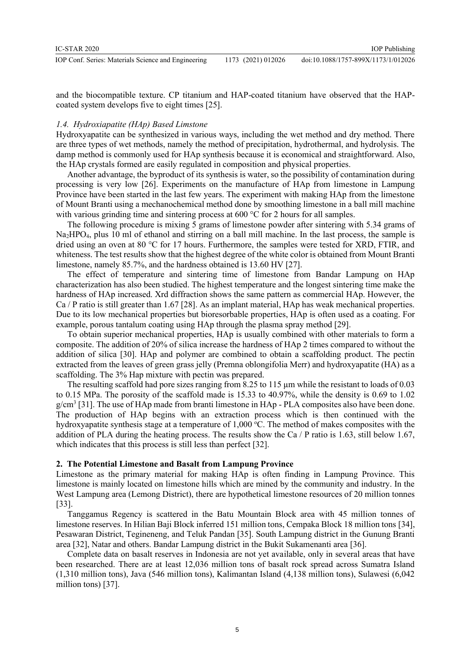IOP Publishing

and the biocompatible texture. CP titanium and HAP-coated titanium have observed that the HAPcoated system develops five to eight times [25].

## *1.4. Hydroxiapatite (HAp) Based Limstone*

Hydroxyapatite can be synthesized in various ways, including the wet method and dry method. There are three types of wet methods, namely the method of precipitation, hydrothermal, and hydrolysis. The damp method is commonly used for HAp synthesis because it is economical and straightforward. Also, the HAp crystals formed are easily regulated in composition and physical properties.

Another advantage, the byproduct of its synthesis is water, so the possibility of contamination during processing is very low [26]. Experiments on the manufacture of HAp from limestone in Lampung Province have been started in the last few years. The experiment with making HAp from the limestone of Mount Branti using a mechanochemical method done by smoothing limestone in a ball mill machine with various grinding time and sintering process at 600 °C for 2 hours for all samples.

The following procedure is mixing 5 grams of limestone powder after sintering with 5.34 grams of Na2HPO4, plus 10 ml of ethanol and stirring on a ball mill machine. In the last process, the sample is dried using an oven at 80 °C for 17 hours. Furthermore, the samples were tested for XRD, FTIR, and whiteness. The test results show that the highest degree of the white color is obtained from Mount Branti limestone, namely 85.7%, and the hardness obtained is 13.60 HV [27].

The effect of temperature and sintering time of limestone from Bandar Lampung on HAp characterization has also been studied. The highest temperature and the longest sintering time make the hardness of HAp increased. Xrd diffraction shows the same pattern as commercial HAp. However, the Ca / P ratio is still greater than 1.67 [28]. As an implant material, HAp has weak mechanical properties. Due to its low mechanical properties but bioresorbable properties, HAp is often used as a coating. For example, porous tantalum coating using HAp through the plasma spray method [29].

To obtain superior mechanical properties, HAp is usually combined with other materials to form a composite. The addition of 20% of silica increase the hardness of HAp 2 times compared to without the addition of silica [30]. HAp and polymer are combined to obtain a scaffolding product. The pectin extracted from the leaves of green grass jelly (Premna oblongifolia Merr) and hydroxyapatite (HA) as a scaffolding. The 3% Hap mixture with pectin was prepared.

The resulting scaffold had pore sizes ranging from 8.25 to 115  $\mu$ m while the resistant to loads of 0.03 to 0.15 MPa. The porosity of the scaffold made is 15.33 to 40.97%, while the density is 0.69 to 1.02  $g/cm<sup>3</sup>$  [31]. The use of HAp made from branti limestone in HAp - PLA composites also have been done. The production of HAp begins with an extraction process which is then continued with the hydroxyapatite synthesis stage at a temperature of  $1,000$  °C. The method of makes composites with the addition of PLA during the heating process. The results show the Ca / P ratio is 1.63, still below 1.67, which indicates that this process is still less than perfect [32].

### **2. The Potential Limestone and Basalt from Lampung Province**

Limestone as the primary material for making HAp is often finding in Lampung Province. This limestone is mainly located on limestone hills which are mined by the community and industry. In the West Lampung area (Lemong District), there are hypothetical limestone resources of 20 million tonnes [33].

Tanggamus Regency is scattered in the Batu Mountain Block area with 45 million tonnes of limestone reserves. In Hilian Baji Block inferred 151 million tons, Cempaka Block 18 million tons [34], Pesawaran District, Tegineneng, and Teluk Pandan [35]. South Lampung district in the Gunung Branti area [32], Natar and others. Bandar Lampung district in the Bukit Sukamenanti area [36].

Complete data on basalt reserves in Indonesia are not yet available, only in several areas that have been researched. There are at least 12,036 million tons of basalt rock spread across Sumatra Island (1,310 million tons), Java (546 million tons), Kalimantan Island (4,138 million tons), Sulawesi (6,042 million tons) [37].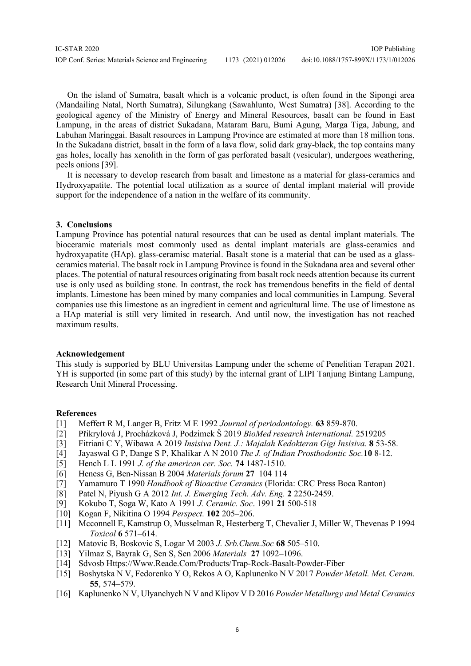| IC-STAR 2020                                        |                    | <b>IOP</b> Publishing               |
|-----------------------------------------------------|--------------------|-------------------------------------|
| IOP Conf. Series: Materials Science and Engineering | 1173 (2021) 012026 | doi:10.1088/1757-899X/1173/1/012026 |

On the island of Sumatra, basalt which is a volcanic product, is often found in the Sipongi area (Mandailing Natal, North Sumatra), Silungkang (Sawahlunto, West Sumatra) [38]. According to the geological agency of the Ministry of Energy and Mineral Resources, basalt can be found in East Lampung, in the areas of district Sukadana, Mataram Baru, Bumi Agung, Marga Tiga, Jabung, and Labuhan Maringgai. Basalt resources in Lampung Province are estimated at more than 18 million tons. In the Sukadana district, basalt in the form of a lava flow, solid dark gray-black, the top contains many gas holes, locally has xenolith in the form of gas perforated basalt (vesicular), undergoes weathering, peels onions [39].

It is necessary to develop research from basalt and limestone as a material for glass-ceramics and Hydroxyapatite. The potential local utilization as a source of dental implant material will provide support for the independence of a nation in the welfare of its community.

## **3. Conclusions**

Lampung Province has potential natural resources that can be used as dental implant materials. The bioceramic materials most commonly used as dental implant materials are glass-ceramics and hydroxyapatite (HAp). glass-ceramisc material. Basalt stone is a material that can be used as a glassceramics material. The basalt rock in Lampung Province is found in the Sukadana area and several other places. The potential of natural resources originating from basalt rock needs attention because its current use is only used as building stone. In contrast, the rock has tremendous benefits in the field of dental implants. Limestone has been mined by many companies and local communities in Lampung. Several companies use this limestone as an ingredient in cement and agricultural lime. The use of limestone as a HAp material is still very limited in research. And until now, the investigation has not reached maximum results.

## **Acknowledgement**

This study is supported by BLU Universitas Lampung under the scheme of Penelitian Terapan 2021. YH is supported (in some part of this study) by the internal grant of LIPI Tanjung Bintang Lampung, Research Unit Mineral Processing.

## **References**

- [1] Meffert R M, Langer B, Fritz M E 1992 *Journal of periodontology.* **63** 859-870.
- [2] Přikrylová J, Procházková J, Podzimek Š 2019 *BioMed research international.* 2519205
- [3] Fitriani C Y, Wibawa A 2019 *Insisiva Dent. J.: Majalah Kedokteran Gigi Insisiva.* **8** 53-58.
- [4] Jayaswal G P, Dange S P, Khalikar A N 2010 *The J. of Indian Prosthodontic Soc.***10** 8-12.
- [5] Hench L L 1991 *J. of the american cer. Soc.* **74** 1487-1510.
- [6] Heness G, Ben-Nissan B 2004 *Materials forum* **27** 104 114
- [7] Yamamuro T 1990 *Handbook of Bioactive Ceramics* (Florida: CRC Press Boca Ranton)
- [8] Patel N, Piyush G A 2012 *Int. J. Emerging Tech. Adv. Eng.* **2** 2250-2459.
- [9] Kokubo T, Soga W, Kato A 1991 *J. Ceramic. Soc*. 1991 **21** 500-518
- [10] Kogan F, Nikitina O 1994 *Perspect.* **102** 205–206.
- [11] Mcconnell E, Kamstrup O, Musselman R, Hesterberg T, Chevalier J, Miller W, Thevenas P 1994 *Toxicol* **6** 571–614.
- [12] Matovic B, Boskovic S, Logar M 2003 *J. Srb.Chem.Soc* **68** 505–510.
- [13] Yilmaz S, Bayrak G, Sen S, Sen 2006 *Materials* **27** 1092–1096.
- [14] Sdvosb [Https://Www.Reade.Com/Products/Trap-Rock-Basalt-Powder-Fiber](https://www.reade.com/Products/Trap-Rock-Basalt-Powder-Fiber,)
- [15] Boshytska N V, Fedorenko Y O, Rekos A O, Kaplunenko N V 2017 *Powder Metall. Met. Ceram.*  **55**, 574–579.
- [16] Kaplunenko N V, Ulyanchych N V and Klipov V D 2016 *Powder Metallurgy and Metal Ceramics*